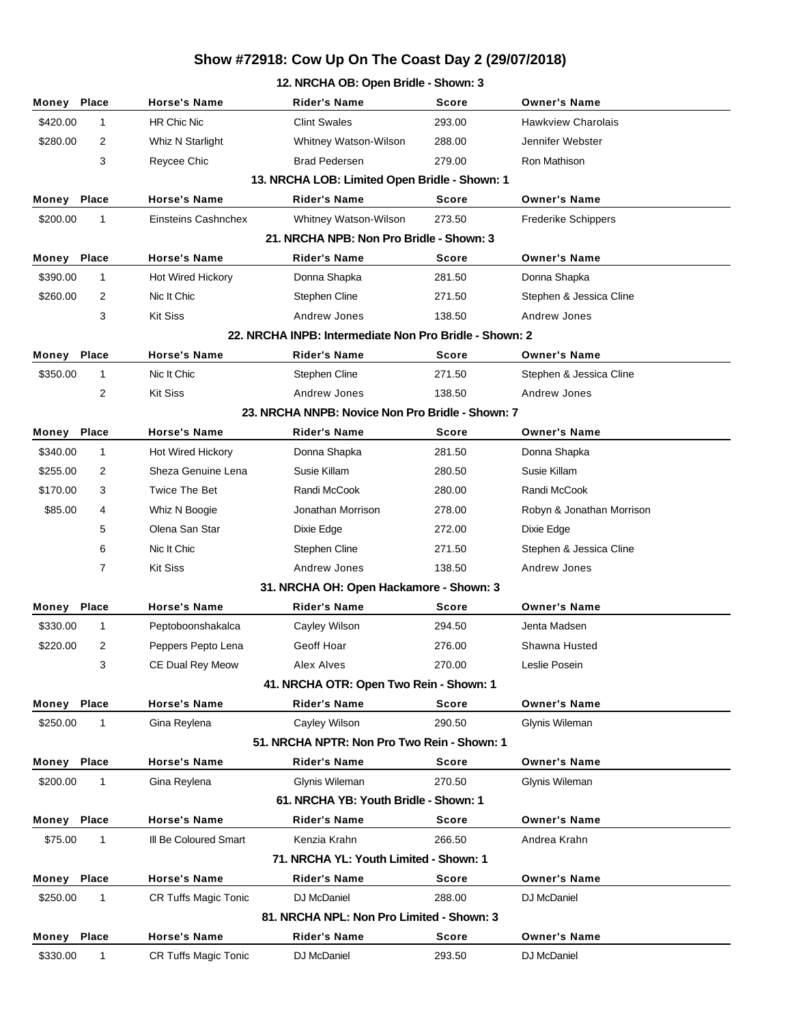## **Show #72918: Cow Up On The Coast Day 2 (29/07/2018)**

## **12. NRCHA OB: Open Bridle - Shown: 3 Money Place Horse's Name Rider's Name Score Owner's Name** \$420.00 1 HR Chic Nic Clint Swales 293.00 Hawkview Charolais \$280.00 2 Whiz N Starlight Whitney Watson-Wilson 288.00 Jennifer Webster 3 Reycee Chic Brad Pedersen 279.00 Ron Mathison **13. NRCHA LOB: Limited Open Bridle - Shown: 1 Money Place Horse's Name Rider's Name Score Owner's Name**

| \$200.00 | 1              | Einsteins Cashnchex      | Whitney Watson-Wilson                                  | 273.50       | <b>Frederike Schippers</b> |  |
|----------|----------------|--------------------------|--------------------------------------------------------|--------------|----------------------------|--|
|          |                |                          | 21. NRCHA NPB: Non Pro Bridle - Shown: 3               |              |                            |  |
| Money    | Place          | <b>Horse's Name</b>      | <b>Rider's Name</b>                                    | <b>Score</b> | <b>Owner's Name</b>        |  |
| \$390.00 | $\mathbf{1}$   | <b>Hot Wired Hickory</b> | Donna Shapka                                           | 281.50       | Donna Shapka               |  |
| \$260.00 | $\overline{2}$ | Nic It Chic              | Stephen Cline                                          | 271.50       | Stephen & Jessica Cline    |  |
|          | 3              | <b>Kit Siss</b>          | Andrew Jones                                           | 138.50       | Andrew Jones               |  |
|          |                |                          | 22. NRCHA INPB: Intermediate Non Pro Bridle - Shown: 2 |              |                            |  |
| Money    | <b>Place</b>   | <b>Horse's Name</b>      | <b>Rider's Name</b>                                    | <b>Score</b> | <b>Owner's Name</b>        |  |
| \$350.00 | $\mathbf{1}$   | Nic It Chic              | Stephen Cline                                          | 271.50       | Stephen & Jessica Cline    |  |
|          | 2              | <b>Kit Siss</b>          | Andrew Jones                                           | 138.50       | Andrew Jones               |  |
|          |                |                          | 23. NRCHA NNPB: Novice Non Pro Bridle - Shown: 7       |              |                            |  |
| Money    | Place          | <b>Horse's Name</b>      | <b>Rider's Name</b>                                    | Score        | <b>Owner's Name</b>        |  |
| \$340.00 | $\mathbf{1}$   | <b>Hot Wired Hickory</b> | Donna Shapka                                           | 281.50       | Donna Shapka               |  |
| \$255.00 | 2              | Sheza Genuine Lena       | Susie Killam                                           | 280.50       | Susie Killam               |  |
| \$170.00 | 3              | <b>Twice The Bet</b>     | Randi McCook                                           | 280.00       | Randi McCook               |  |
| \$85.00  | 4              | Whiz N Boogie            | Jonathan Morrison                                      | 278.00       | Robyn & Jonathan Morrison  |  |
|          | 5              | Olena San Star           | Dixie Edge                                             | 272.00       | Dixie Edge                 |  |
|          | 6              | Nic It Chic              | <b>Stephen Cline</b>                                   | 271.50       | Stephen & Jessica Cline    |  |
|          | 7              | <b>Kit Siss</b>          | Andrew Jones                                           | 138.50       | Andrew Jones               |  |
|          |                |                          | 31. NRCHA OH: Open Hackamore - Shown: 3                |              |                            |  |
| Money    | <b>Place</b>   | <b>Horse's Name</b>      | <b>Rider's Name</b>                                    | <b>Score</b> | <b>Owner's Name</b>        |  |
| \$330.00 | $\mathbf{1}$   | Peptoboonshakalca        | Cayley Wilson                                          | 294.50       | Jenta Madsen               |  |
| \$220.00 | 2              | Peppers Pepto Lena       | Geoff Hoar                                             | 276.00       | Shawna Husted              |  |
|          | 3              | CE Dual Rey Meow         | Alex Alves                                             | 270.00       | Leslie Posein              |  |
|          |                |                          | 41. NRCHA OTR: Open Two Rein - Shown: 1                |              |                            |  |
| Money    | <b>Place</b>   | <b>Horse's Name</b>      | <b>Rider's Name</b>                                    | <b>Score</b> | <b>Owner's Name</b>        |  |
| \$250.00 | 1              | Gina Reylena             | Cayley Wilson                                          | 290.50       | Glynis Wileman             |  |
|          |                |                          | 51. NRCHA NPTR: Non Pro Two Rein - Shown: 1            |              |                            |  |
| Money    | <b>Place</b>   | <b>Horse's Name</b>      | <b>Rider's Name</b>                                    | <b>Score</b> | <b>Owner's Name</b>        |  |
| \$200.00 | $\mathbf{1}$   | Gina Reylena             | Glynis Wileman                                         | 270.50       | Glynis Wileman             |  |
|          |                |                          | 61. NRCHA YB: Youth Bridle - Shown: 1                  |              |                            |  |
|          |                |                          |                                                        |              |                            |  |

| 61. NRCHA YB: Youth Bridle - Shown: 1     |                                        |                       |                     |              |                     |  |  |
|-------------------------------------------|----------------------------------------|-----------------------|---------------------|--------------|---------------------|--|--|
| Money                                     | <b>Place</b>                           | <b>Horse's Name</b>   | <b>Rider's Name</b> | <b>Score</b> | <b>Owner's Name</b> |  |  |
| \$75.00                                   |                                        | III Be Coloured Smart | Kenzia Krahn        | 266.50       | Andrea Krahn        |  |  |
|                                           | 71. NRCHA YL: Youth Limited - Shown: 1 |                       |                     |              |                     |  |  |
| Money                                     | <b>Place</b>                           | <b>Horse's Name</b>   | <b>Rider's Name</b> | <b>Score</b> | <b>Owner's Name</b> |  |  |
| \$250.00                                  |                                        | CR Tuffs Magic Tonic  | DJ McDaniel         | 288.00       | DJ McDaniel         |  |  |
| 81. NRCHA NPL: Non Pro Limited - Shown: 3 |                                        |                       |                     |              |                     |  |  |
| Money                                     | <b>Place</b>                           | <b>Horse's Name</b>   | <b>Rider's Name</b> | <b>Score</b> | <b>Owner's Name</b> |  |  |
| \$330.00                                  |                                        | CR Tuffs Magic Tonic  | DJ McDaniel         | 293.50       | DJ McDaniel         |  |  |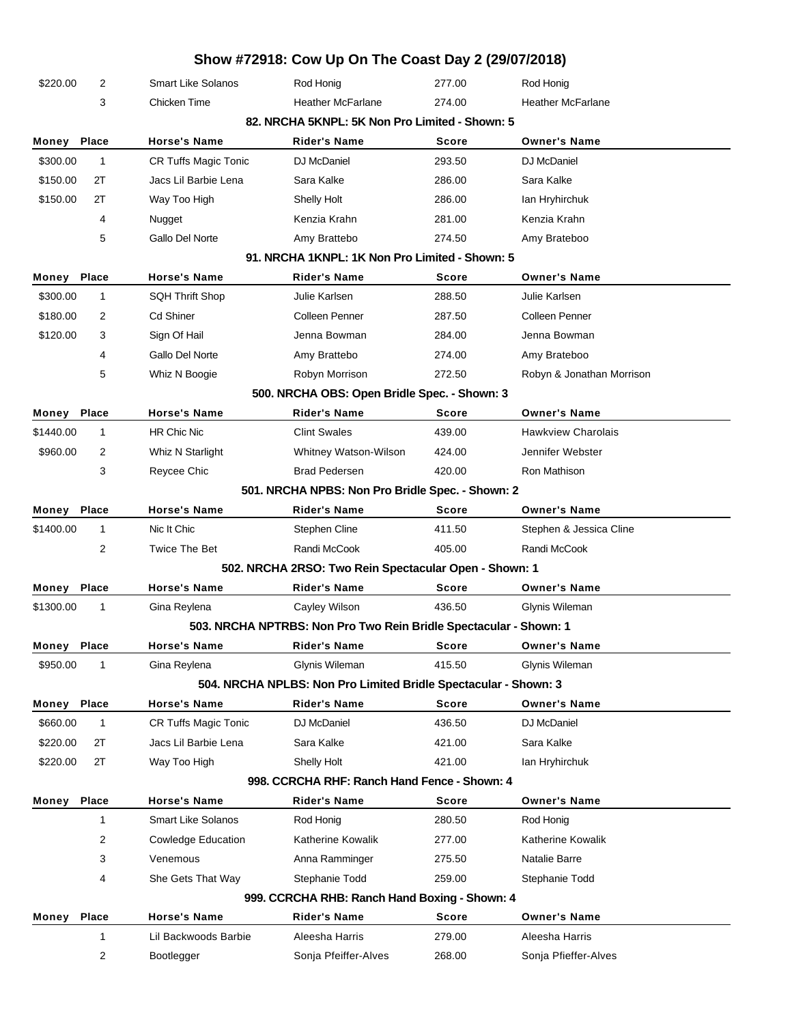|                                                                                                                                                |                                                                                                                                                  |                             | Show #72918: Cow Up On The Coast Day 2 (29/07/2018)               |              |                           |  |  |  |  |
|------------------------------------------------------------------------------------------------------------------------------------------------|--------------------------------------------------------------------------------------------------------------------------------------------------|-----------------------------|-------------------------------------------------------------------|--------------|---------------------------|--|--|--|--|
| \$220.00                                                                                                                                       | 2                                                                                                                                                | <b>Smart Like Solanos</b>   | Rod Honig                                                         | 277.00       | Rod Honig                 |  |  |  |  |
|                                                                                                                                                | 3                                                                                                                                                | Chicken Time                | <b>Heather McFarlane</b>                                          | 274.00       | <b>Heather McFarlane</b>  |  |  |  |  |
|                                                                                                                                                | 82. NRCHA 5KNPL: 5K Non Pro Limited - Shown: 5                                                                                                   |                             |                                                                   |              |                           |  |  |  |  |
| Money Place                                                                                                                                    |                                                                                                                                                  | <b>Horse's Name</b>         | <b>Rider's Name</b>                                               | <b>Score</b> | <b>Owner's Name</b>       |  |  |  |  |
| \$300.00                                                                                                                                       | $\mathbf{1}$                                                                                                                                     | CR Tuffs Magic Tonic        | DJ McDaniel                                                       | 293.50       | DJ McDaniel               |  |  |  |  |
| \$150.00                                                                                                                                       | 2T                                                                                                                                               | Jacs Lil Barbie Lena        | Sara Kalke                                                        | 286.00       | Sara Kalke                |  |  |  |  |
| \$150.00                                                                                                                                       | 2T                                                                                                                                               | Way Too High                | Shelly Holt                                                       | 286.00       | lan Hryhirchuk            |  |  |  |  |
|                                                                                                                                                | 4                                                                                                                                                | Nugget                      | Kenzia Krahn                                                      | 281.00       | Kenzia Krahn              |  |  |  |  |
|                                                                                                                                                | 5                                                                                                                                                | Gallo Del Norte             | Amy Brattebo                                                      | 274.50       | Amy Brateboo              |  |  |  |  |
|                                                                                                                                                |                                                                                                                                                  |                             | 91. NRCHA 1KNPL: 1K Non Pro Limited - Shown: 5                    |              |                           |  |  |  |  |
| Money                                                                                                                                          | Place                                                                                                                                            | <b>Horse's Name</b>         | <b>Rider's Name</b>                                               | <b>Score</b> | <b>Owner's Name</b>       |  |  |  |  |
| \$300.00                                                                                                                                       | $\mathbf{1}$                                                                                                                                     | <b>SQH Thrift Shop</b>      | Julie Karlsen                                                     | 288.50       | Julie Karlsen             |  |  |  |  |
| \$180.00                                                                                                                                       | 2                                                                                                                                                | Cd Shiner                   | Colleen Penner                                                    | 287.50       | Colleen Penner            |  |  |  |  |
| \$120.00                                                                                                                                       | 3                                                                                                                                                | Sign Of Hail                | Jenna Bowman                                                      | 284.00       | Jenna Bowman              |  |  |  |  |
|                                                                                                                                                | 4                                                                                                                                                | Gallo Del Norte             | Amy Brattebo                                                      | 274.00       | Amy Brateboo              |  |  |  |  |
|                                                                                                                                                | 5                                                                                                                                                | Whiz N Boogie               | Robyn Morrison                                                    | 272.50       | Robyn & Jonathan Morrison |  |  |  |  |
|                                                                                                                                                |                                                                                                                                                  |                             | 500. NRCHA OBS: Open Bridle Spec. - Shown: 3                      |              |                           |  |  |  |  |
| Money                                                                                                                                          | Place                                                                                                                                            | <b>Horse's Name</b>         | <b>Rider's Name</b>                                               | <b>Score</b> | <b>Owner's Name</b>       |  |  |  |  |
| \$1440.00                                                                                                                                      | $\mathbf{1}$                                                                                                                                     | HR Chic Nic                 | <b>Clint Swales</b>                                               | 439.00       | <b>Hawkview Charolais</b> |  |  |  |  |
| \$960.00                                                                                                                                       | 2                                                                                                                                                | Whiz N Starlight            | Whitney Watson-Wilson                                             | 424.00       | Jennifer Webster          |  |  |  |  |
|                                                                                                                                                | 3                                                                                                                                                | Reycee Chic                 | <b>Brad Pedersen</b>                                              | 420.00       | Ron Mathison              |  |  |  |  |
|                                                                                                                                                |                                                                                                                                                  |                             | 501. NRCHA NPBS: Non Pro Bridle Spec. - Shown: 2                  |              |                           |  |  |  |  |
| Money Place                                                                                                                                    |                                                                                                                                                  | <b>Horse's Name</b>         | <b>Rider's Name</b>                                               | <b>Score</b> | <b>Owner's Name</b>       |  |  |  |  |
| \$1400.00                                                                                                                                      | $\mathbf{1}$                                                                                                                                     | Nic It Chic                 | <b>Stephen Cline</b>                                              | 411.50       | Stephen & Jessica Cline   |  |  |  |  |
|                                                                                                                                                | $\overline{2}$                                                                                                                                   | <b>Twice The Bet</b>        | Randi McCook                                                      | 405.00       | Randi McCook              |  |  |  |  |
|                                                                                                                                                |                                                                                                                                                  |                             | 502. NRCHA 2RSO: Two Rein Spectacular Open - Shown: 1             |              |                           |  |  |  |  |
| Money                                                                                                                                          | Place                                                                                                                                            | <b>Horse's Name</b>         | <b>Rider's Name</b>                                               | <b>Score</b> | <b>Owner's Name</b>       |  |  |  |  |
| \$1300.00                                                                                                                                      | 1                                                                                                                                                | Gina Reylena                | Cayley Wilson                                                     | 436.50       | Glynis Wileman            |  |  |  |  |
|                                                                                                                                                |                                                                                                                                                  |                             | 503. NRCHA NPTRBS: Non Pro Two Rein Bridle Spectacular - Shown: 1 |              |                           |  |  |  |  |
| Money Place                                                                                                                                    |                                                                                                                                                  | <b>Horse's Name</b>         | <b>Rider's Name</b>                                               | <b>Score</b> | Owner's Name              |  |  |  |  |
| \$950.00<br>Gina Reylena<br>Glynis Wileman<br>415.50<br>Glynis Wileman<br>1<br>504. NRCHA NPLBS: Non Pro Limited Bridle Spectacular - Shown: 3 |                                                                                                                                                  |                             |                                                                   |              |                           |  |  |  |  |
|                                                                                                                                                | Place                                                                                                                                            | <b>Horse's Name</b>         | <b>Rider's Name</b>                                               | <b>Score</b> | <b>Owner's Name</b>       |  |  |  |  |
| Money<br>\$660.00                                                                                                                              | $\mathbf{1}$                                                                                                                                     | <b>CR Tuffs Magic Tonic</b> | DJ McDaniel                                                       | 436.50       | DJ McDaniel               |  |  |  |  |
| \$220.00                                                                                                                                       | 2T                                                                                                                                               | Jacs Lil Barbie Lena        | Sara Kalke                                                        | 421.00       | Sara Kalke                |  |  |  |  |
| \$220.00                                                                                                                                       | 2T                                                                                                                                               | Way Too High                | Shelly Holt                                                       | 421.00       | lan Hryhirchuk            |  |  |  |  |
|                                                                                                                                                |                                                                                                                                                  |                             |                                                                   |              |                           |  |  |  |  |
|                                                                                                                                                | 998. CCRCHA RHF: Ranch Hand Fence - Shown: 4<br>Money Place<br><b>Rider's Name</b><br><b>Score</b><br><b>Owner's Name</b><br><b>Horse's Name</b> |                             |                                                                   |              |                           |  |  |  |  |
|                                                                                                                                                | $\mathbf{1}$                                                                                                                                     | <b>Smart Like Solanos</b>   | Rod Honig                                                         | 280.50       | Rod Honig                 |  |  |  |  |
|                                                                                                                                                | $\overline{2}$                                                                                                                                   | <b>Cowledge Education</b>   | Katherine Kowalik                                                 | 277.00       | Katherine Kowalik         |  |  |  |  |
|                                                                                                                                                | 3                                                                                                                                                | Venemous                    | Anna Ramminger                                                    | 275.50       | Natalie Barre             |  |  |  |  |
|                                                                                                                                                | 4                                                                                                                                                | She Gets That Way           | Stephanie Todd                                                    | 259.00       | Stephanie Todd            |  |  |  |  |
|                                                                                                                                                |                                                                                                                                                  |                             | 999. CCRCHA RHB: Ranch Hand Boxing - Shown: 4                     |              |                           |  |  |  |  |
| Money                                                                                                                                          | Place                                                                                                                                            | <b>Horse's Name</b>         | <b>Rider's Name</b>                                               | <b>Score</b> | <b>Owner's Name</b>       |  |  |  |  |
|                                                                                                                                                | $\mathbf{1}$                                                                                                                                     | Lil Backwoods Barbie        | Aleesha Harris                                                    | 279.00       | Aleesha Harris            |  |  |  |  |
|                                                                                                                                                | $\overline{2}$                                                                                                                                   | Bootlegger                  | Sonja Pfeiffer-Alves                                              | 268.00       | Sonja Pfieffer-Alves      |  |  |  |  |
|                                                                                                                                                |                                                                                                                                                  |                             |                                                                   |              |                           |  |  |  |  |